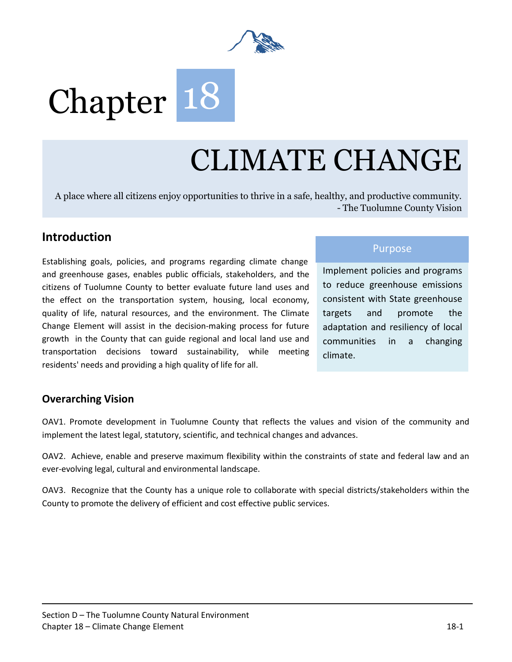

# Chapter 18

# CLIMATE CHANGE

A place where all citizens enjoy opportunities to thrive in a safe, healthy, and productive community. - The Tuolumne County Vision

# **Introduction**

Establishing goals, policies, and programs regarding climate change and greenhouse gases, enables public officials, stakeholders, and the citizens of Tuolumne County to better evaluate future land uses and the effect on the transportation system, housing, local economy, quality of life, natural resources, and the environment. The Climate Change Element will assist in the decision‐making process for future growth in the County that can guide regional and local land use and transportation decisions toward sustainability, while meeting residents' needs and providing a high quality of life for all.

### Purpose

Implement policies and programs to reduce greenhouse emissions consistent with State greenhouse targets and promote the adaptation and resiliency of local communities in a changing climate.

## **Overarching Vision**

OAV1. Promote development in Tuolumne County that reflects the values and vision of the community and implement the latest legal, statutory, scientific, and technical changes and advances.

OAV2. Achieve, enable and preserve maximum flexibility within the constraints of state and federal law and an ever-evolving legal, cultural and environmental landscape.

OAV3. Recognize that the County has a unique role to collaborate with special districts/stakeholders within the County to promote the delivery of efficient and cost effective public services.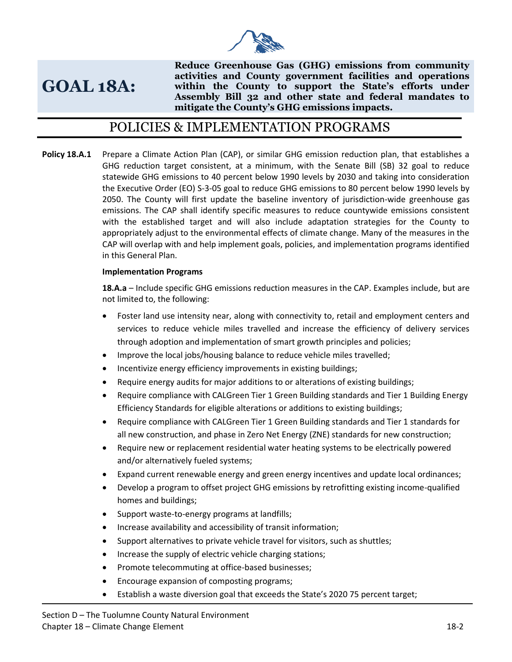

# **GOAL 18A:**

**Reduce Greenhouse Gas (GHG) emissions from community activities and County government facilities and operations within the County to support the State's efforts under Assembly Bill 32 and other state and federal mandates to mitigate the County's GHG emissions impacts.**

# POLICIES & IMPLEMENTATION PROGRAMS

**Policy 18.A.1** Prepare a Climate Action Plan (CAP), or similar GHG emission reduction plan, that establishes a GHG reduction target consistent, at a minimum, with the Senate Bill (SB) 32 goal to reduce statewide GHG emissions to 40 percent below 1990 levels by 2030 and taking into consideration the Executive Order (EO) S-3-05 goal to reduce GHG emissions to 80 percent below 1990 levels by 2050. The County will first update the baseline inventory of jurisdiction-wide greenhouse gas emissions. The CAP shall identify specific measures to reduce countywide emissions consistent with the established target and will also include adaptation strategies for the County to appropriately adjust to the environmental effects of climate change. Many of the measures in the CAP will overlap with and help implement goals, policies, and implementation programs identified in this General Plan.

#### **Implementation Programs**

**18.A.a** – Include specific GHG emissions reduction measures in the CAP. Examples include, but are not limited to, the following:

- Foster land use intensity near, along with connectivity to, retail and employment centers and services to reduce vehicle miles travelled and increase the efficiency of delivery services through adoption and implementation of smart growth principles and policies;
- Improve the local jobs/housing balance to reduce vehicle miles travelled;
- Incentivize energy efficiency improvements in existing buildings;
- Require energy audits for major additions to or alterations of existing buildings;
- Require compliance with CALGreen Tier 1 Green Building standards and Tier 1 Building Energy Efficiency Standards for eligible alterations or additions to existing buildings;
- Require compliance with CALGreen Tier 1 Green Building standards and Tier 1 standards for all new construction, and phase in Zero Net Energy (ZNE) standards for new construction;
- Require new or replacement residential water heating systems to be electrically powered and/or alternatively fueled systems;
- Expand current renewable energy and green energy incentives and update local ordinances;
- Develop a program to offset project GHG emissions by retrofitting existing income-qualified homes and buildings;
- Support waste-to-energy programs at landfills;
- Increase availability and accessibility of transit information;
- Support alternatives to private vehicle travel for visitors, such as shuttles;
- Increase the supply of electric vehicle charging stations;
- Promote telecommuting at office-based businesses;
- Encourage expansion of composting programs;
- Establish a waste diversion goal that exceeds the State's 2020 75 percent target;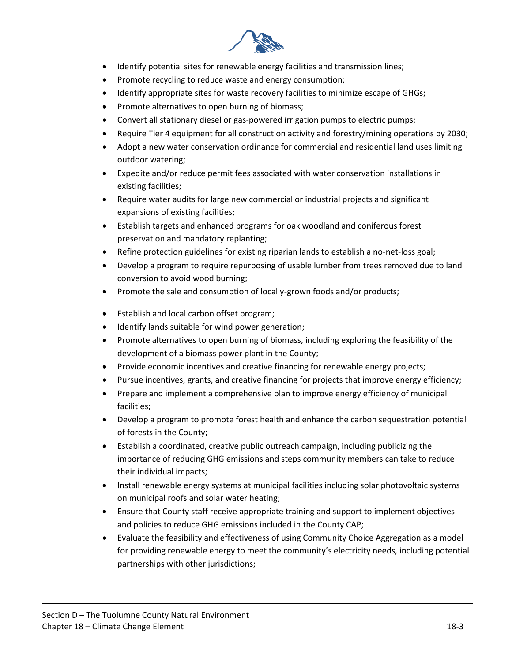

- Identify potential sites for renewable energy facilities and transmission lines;
- Promote recycling to reduce waste and energy consumption;
- Identify appropriate sites for waste recovery facilities to minimize escape of GHGs;
- Promote alternatives to open burning of biomass;
- Convert all stationary diesel or gas-powered irrigation pumps to electric pumps;
- Require Tier 4 equipment for all construction activity and forestry/mining operations by 2030;
- Adopt a new water conservation ordinance for commercial and residential land uses limiting outdoor watering;
- Expedite and/or reduce permit fees associated with water conservation installations in existing facilities;
- Require water audits for large new commercial or industrial projects and significant expansions of existing facilities;
- Establish targets and enhanced programs for oak woodland and coniferous forest preservation and mandatory replanting;
- Refine protection guidelines for existing riparian lands to establish a no-net-loss goal;
- Develop a program to require repurposing of usable lumber from trees removed due to land conversion to avoid wood burning;
- Promote the sale and consumption of locally-grown foods and/or products;
- Establish and local carbon offset program;
- Identify lands suitable for wind power generation;
- Promote alternatives to open burning of biomass, including exploring the feasibility of the development of a biomass power plant in the County;
- Provide economic incentives and creative financing for renewable energy projects;
- Pursue incentives, grants, and creative financing for projects that improve energy efficiency;
- Prepare and implement a comprehensive plan to improve energy efficiency of municipal facilities;
- Develop a program to promote forest health and enhance the carbon sequestration potential of forests in the County;
- Establish a coordinated, creative public outreach campaign, including publicizing the importance of reducing GHG emissions and steps community members can take to reduce their individual impacts;
- Install renewable energy systems at municipal facilities including solar photovoltaic systems on municipal roofs and solar water heating;
- Ensure that County staff receive appropriate training and support to implement objectives and policies to reduce GHG emissions included in the County CAP;
- Evaluate the feasibility and effectiveness of using Community Choice Aggregation as a model for providing renewable energy to meet the community's electricity needs, including potential partnerships with other jurisdictions;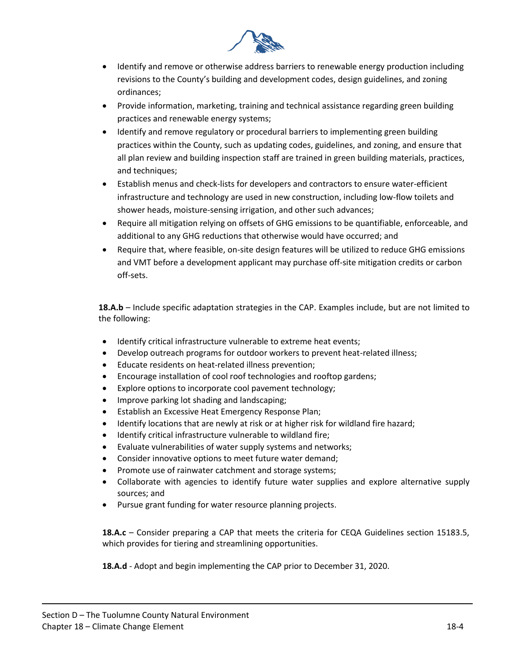

- Identify and remove or otherwise address barriers to renewable energy production including revisions to the County's building and development codes, design guidelines, and zoning ordinances;
- Provide information, marketing, training and technical assistance regarding green building practices and renewable energy systems;
- Identify and remove regulatory or procedural barriers to implementing green building practices within the County, such as updating codes, guidelines, and zoning, and ensure that all plan review and building inspection staff are trained in green building materials, practices, and techniques;
- Establish menus and check-lists for developers and contractors to ensure water-efficient infrastructure and technology are used in new construction, including low-flow toilets and shower heads, moisture-sensing irrigation, and other such advances;
- Require all mitigation relying on offsets of GHG emissions to be quantifiable, enforceable, and additional to any GHG reductions that otherwise would have occurred; and
- Require that, where feasible, on-site design features will be utilized to reduce GHG emissions and VMT before a development applicant may purchase off-site mitigation credits or carbon off-sets.

**18.A.b** – Include specific adaptation strategies in the CAP. Examples include, but are not limited to the following:

- Identify critical infrastructure vulnerable to extreme heat events;
- Develop outreach programs for outdoor workers to prevent heat-related illness;
- Educate residents on heat-related illness prevention;
- Encourage installation of cool roof technologies and rooftop gardens;
- Explore options to incorporate cool pavement technology;
- Improve parking lot shading and landscaping;
- Establish an Excessive Heat Emergency Response Plan;
- Identify locations that are newly at risk or at higher risk for wildland fire hazard;
- Identify critical infrastructure vulnerable to wildland fire;
- Evaluate vulnerabilities of water supply systems and networks;
- Consider innovative options to meet future water demand;
- Promote use of rainwater catchment and storage systems;
- Collaborate with agencies to identify future water supplies and explore alternative supply sources; and
- Pursue grant funding for water resource planning projects.

**18.A.c** – Consider preparing a CAP that meets the criteria for CEQA Guidelines section 15183.5, which provides for tiering and streamlining opportunities.

**18.A.d** - Adopt and begin implementing the CAP prior to December 31, 2020.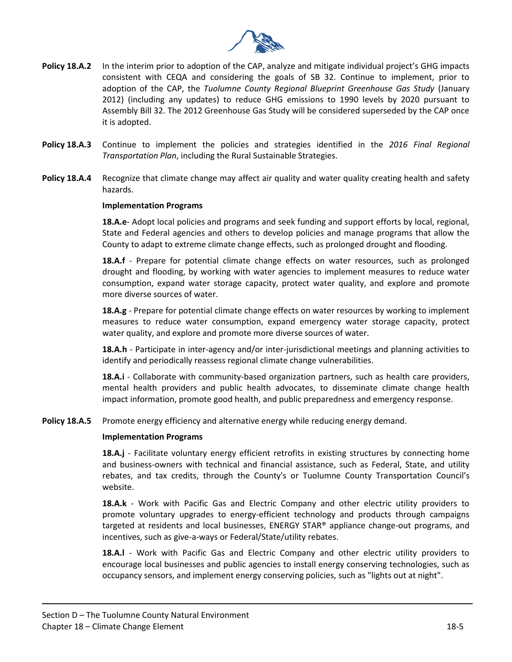

- **Policy 18.A.2** In the interim prior to adoption of the CAP, analyze and mitigate individual project's GHG impacts consistent with CEQA and considering the goals of SB 32. Continue to implement, prior to adoption of the CAP, the *Tuolumne County Regional Blueprint Greenhouse Gas Study* (January 2012) (including any updates) to reduce GHG emissions to 1990 levels by 2020 pursuant to Assembly Bill 32. The 2012 Greenhouse Gas Study will be considered superseded by the CAP once it is adopted.
- **Policy 18.A.3** Continue to implement the policies and strategies identified in the *2016 Final Regional Transportation Plan*, including the Rural Sustainable Strategies.
- **Policy 18.A.4** Recognize that climate change may affect air quality and water quality creating health and safety hazards.

#### **Implementation Programs**

**18.A.e**- Adopt local policies and programs and seek funding and support efforts by local, regional, State and Federal agencies and others to develop policies and manage programs that allow the County to adapt to extreme climate change effects, such as prolonged drought and flooding.

**18.A.f** - Prepare for potential climate change effects on water resources, such as prolonged drought and flooding, by working with water agencies to implement measures to reduce water consumption, expand water storage capacity, protect water quality, and explore and promote more diverse sources of water.

**18.A.g** - Prepare for potential climate change effects on water resources by working to implement measures to reduce water consumption, expand emergency water storage capacity, protect water quality, and explore and promote more diverse sources of water.

**18.A.h** - Participate in inter-agency and/or inter-jurisdictional meetings and planning activities to identify and periodically reassess regional climate change vulnerabilities.

**18.A.i** - Collaborate with community-based organization partners, such as health care providers, mental health providers and public health advocates, to disseminate climate change health impact information, promote good health, and public preparedness and emergency response.

**Policy 18.A.5** Promote energy efficiency and alternative energy while reducing energy demand.

#### **Implementation Programs**

**18.A.j** - Facilitate voluntary energy efficient retrofits in existing structures by connecting home and business-owners with technical and financial assistance, such as Federal, State, and utility rebates, and tax credits, through the County's or Tuolumne County Transportation Council's website.

**18.A.k** - Work with Pacific Gas and Electric Company and other electric utility providers to promote voluntary upgrades to energy-efficient technology and products through campaigns targeted at residents and local businesses, ENERGY STAR<sup>®</sup> appliance change-out programs, and incentives, such as give-a-ways or Federal/State/utility rebates.

**18.A.l** - Work with Pacific Gas and Electric Company and other electric utility providers to encourage local businesses and public agencies to install energy conserving technologies, such as occupancy sensors, and implement energy conserving policies, such as "lights out at night".